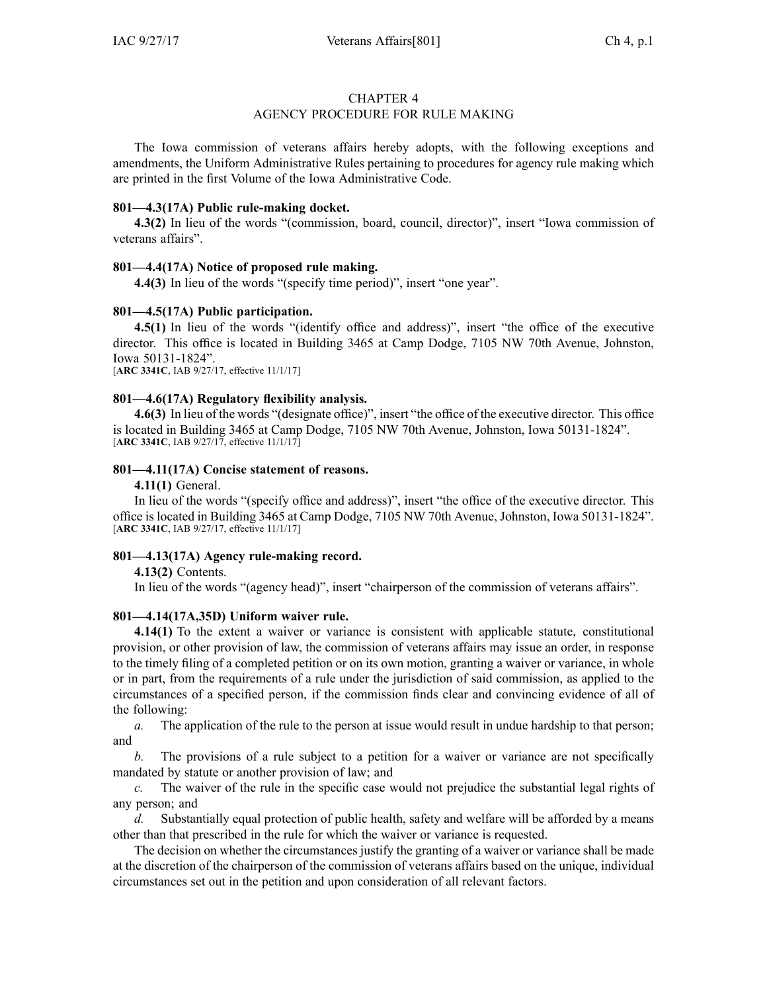#### CHAPTER 4

#### AGENCY PROCEDURE FOR RULE MAKING

The Iowa commission of veterans affairs hereby adopts, with the following exceptions and amendments, the Uniform Administrative Rules pertaining to procedures for agency rule making which are printed in the first Volume of the Iowa Administrative Code.

#### **801—4.3(17A) Public rule-making docket.**

**4.3(2)** In lieu of the words "(commission, board, council, director)", insert "Iowa commission of veterans affairs".

# **801—4.4(17A) Notice of proposed rule making.**

**4.4(3)** In lieu of the words "(specify time period)", insert "one year".

# **801—4.5(17A) Public participation.**

**4.5(1)** In lieu of the words "(identify office and address)", insert "the office of the executive director. This office is located in Building 3465 at Camp Dodge, 7105 NW 70th Avenue, Johnston, Iowa 50131-1824".

[**ARC [3341C](https://www.legis.iowa.gov/docs/aco/arc/3341C.pdf)**, IAB 9/27/17, effective 11/1/17]

# **801—4.6(17A) Regulatory flexibility analysis.**

**4.6(3)** In lieu of the words "(designate office)", insert "the office of the executive director. This office is located in Building 3465 at Camp Dodge, 7105 NW 70th Avenue, Johnston, Iowa 50131-1824". [**ARC [3341C](https://www.legis.iowa.gov/docs/aco/arc/3341C.pdf)**, IAB 9/27/17, effective 11/1/17]

# **801—4.11(17A) Concise statement of reasons.**

**4.11(1)** General.

In lieu of the words "(specify office and address)", insert "the office of the executive director. This office is located in Building 3465 at Camp Dodge, 7105 NW 70th Avenue, Johnston, Iowa 50131-1824". [**ARC [3341C](https://www.legis.iowa.gov/docs/aco/arc/3341C.pdf)**, IAB 9/27/17, effective 11/1/17]

#### **801—4.13(17A) Agency rule-making record.**

**4.13(2)** Contents.

In lieu of the words "(agency head)", insert "chairperson of the commission of veterans affairs".

#### **801—4.14(17A,35D) Uniform waiver rule.**

**4.14(1)** To the extent <sup>a</sup> waiver or variance is consistent with applicable statute, constitutional provision, or other provision of law, the commission of veterans affairs may issue an order, in response to the timely filing of <sup>a</sup> completed petition or on its own motion, granting <sup>a</sup> waiver or variance, in whole or in part, from the requirements of <sup>a</sup> rule under the jurisdiction of said commission, as applied to the circumstances of <sup>a</sup> specified person, if the commission finds clear and convincing evidence of all of the following:

*a.* The application of the rule to the person at issue would result in undue hardship to that person; and

*b.* The provisions of <sup>a</sup> rule subject to <sup>a</sup> petition for <sup>a</sup> waiver or variance are not specifically mandated by statute or another provision of law; and

*c.* The waiver of the rule in the specific case would not prejudice the substantial legal rights of any person; and

*d.* Substantially equal protection of public health, safety and welfare will be afforded by <sup>a</sup> means other than that prescribed in the rule for which the waiver or variance is requested.

The decision on whether the circumstances justify the granting of <sup>a</sup> waiver or variance shall be made at the discretion of the chairperson of the commission of veterans affairs based on the unique, individual circumstances set out in the petition and upon consideration of all relevant factors.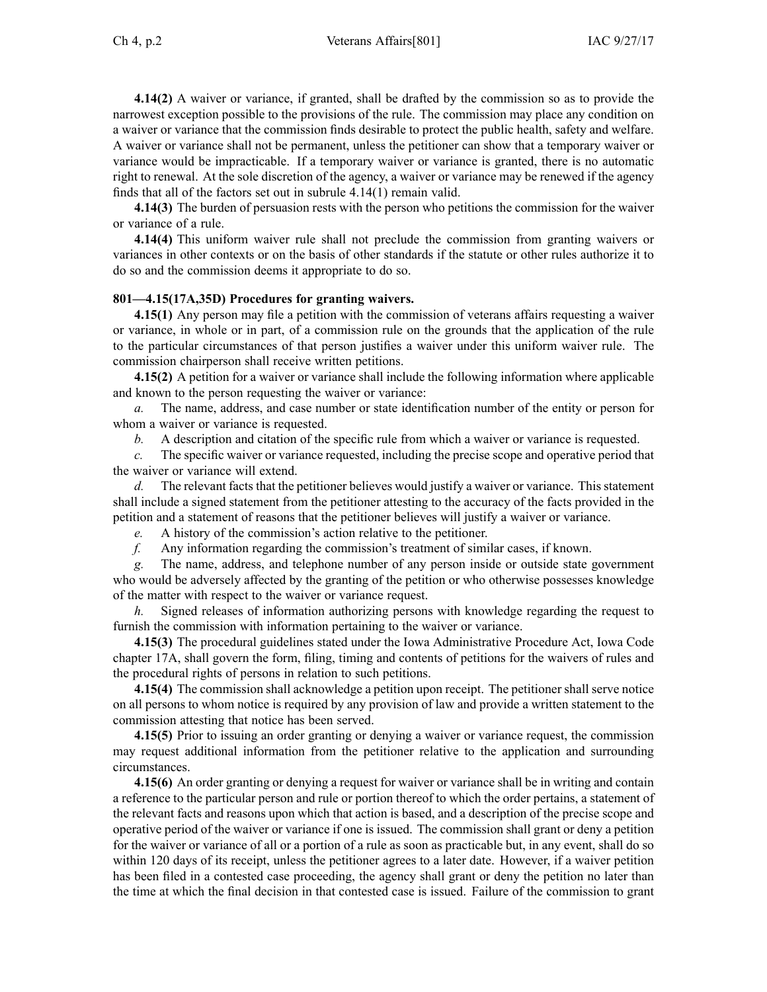**4.14(2)** A waiver or variance, if granted, shall be drafted by the commission so as to provide the narrowest exception possible to the provisions of the rule. The commission may place any condition on <sup>a</sup> waiver or variance that the commission finds desirable to protect the public health, safety and welfare. A waiver or variance shall not be permanent, unless the petitioner can show that <sup>a</sup> temporary waiver or variance would be impracticable. If <sup>a</sup> temporary waiver or variance is granted, there is no automatic right to renewal. At the sole discretion of the agency, <sup>a</sup> waiver or variance may be renewed if the agency finds that all of the factors set out in subrule [4.14\(1\)](https://www.legis.iowa.gov/docs/iac/rule/801.4.14.pdf) remain valid.

**4.14(3)** The burden of persuasion rests with the person who petitions the commission for the waiver or variance of <sup>a</sup> rule.

**4.14(4)** This uniform waiver rule shall not preclude the commission from granting waivers or variances in other contexts or on the basis of other standards if the statute or other rules authorize it to do so and the commission deems it appropriate to do so.

# **801—4.15(17A,35D) Procedures for granting waivers.**

**4.15(1)** Any person may file <sup>a</sup> petition with the commission of veterans affairs requesting <sup>a</sup> waiver or variance, in whole or in part, of <sup>a</sup> commission rule on the grounds that the application of the rule to the particular circumstances of that person justifies <sup>a</sup> waiver under this uniform waiver rule. The commission chairperson shall receive written petitions.

**4.15(2)** A petition for <sup>a</sup> waiver or variance shall include the following information where applicable and known to the person requesting the waiver or variance:

*a.* The name, address, and case number or state identification number of the entity or person for whom <sup>a</sup> waiver or variance is requested.

*b.* A description and citation of the specific rule from which <sup>a</sup> waiver or variance is requested.

*c.* The specific waiver or variance requested, including the precise scope and operative period that the waiver or variance will extend.

*d.* The relevant facts that the petitioner believes would justify a waiver or variance. This statement shall include <sup>a</sup> signed statement from the petitioner attesting to the accuracy of the facts provided in the petition and <sup>a</sup> statement of reasons that the petitioner believes will justify <sup>a</sup> waiver or variance.

*e.* A history of the commission's action relative to the petitioner.

*f.* Any information regarding the commission's treatment of similar cases, if known.

*g.* The name, address, and telephone number of any person inside or outside state governmen<sup>t</sup> who would be adversely affected by the granting of the petition or who otherwise possesses knowledge of the matter with respec<sup>t</sup> to the waiver or variance request.

*h.* Signed releases of information authorizing persons with knowledge regarding the reques<sup>t</sup> to furnish the commission with information pertaining to the waiver or variance.

**4.15(3)** The procedural guidelines stated under the Iowa Administrative Procedure Act, Iowa Code chapter [17A](https://www.legis.iowa.gov/docs/ico/chapter/17A.pdf), shall govern the form, filing, timing and contents of petitions for the waivers of rules and the procedural rights of persons in relation to such petitions.

**4.15(4)** The commission shall acknowledge <sup>a</sup> petition upon receipt. The petitioner shall serve notice on all persons to whom notice is required by any provision of law and provide <sup>a</sup> written statement to the commission attesting that notice has been served.

**4.15(5)** Prior to issuing an order granting or denying <sup>a</sup> waiver or variance request, the commission may reques<sup>t</sup> additional information from the petitioner relative to the application and surrounding circumstances.

**4.15(6)** An order granting or denying <sup>a</sup> reques<sup>t</sup> for waiver or variance shall be in writing and contain <sup>a</sup> reference to the particular person and rule or portion thereof to which the order pertains, <sup>a</sup> statement of the relevant facts and reasons upon which that action is based, and <sup>a</sup> description of the precise scope and operative period of the waiver or variance if one is issued. The commission shall gran<sup>t</sup> or deny <sup>a</sup> petition for the waiver or variance of all or <sup>a</sup> portion of <sup>a</sup> rule as soon as practicable but, in any event, shall do so within 120 days of its receipt, unless the petitioner agrees to <sup>a</sup> later date. However, if <sup>a</sup> waiver petition has been filed in <sup>a</sup> contested case proceeding, the agency shall gran<sup>t</sup> or deny the petition no later than the time at which the final decision in that contested case is issued. Failure of the commission to gran<sup>t</sup>